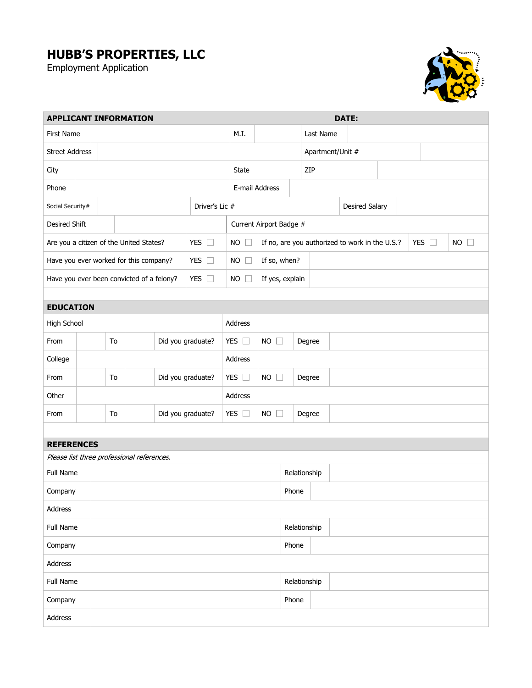## **HUBB'S PROPERTIES, LLC**

Employment Application



| <b>APPLICANT INFORMATION</b>                               |                         |                         |  |  |               |                             |                 | <b>DATE:</b>                                                                           |              |                       |           |  |  |  |  |  |  |  |  |  |
|------------------------------------------------------------|-------------------------|-------------------------|--|--|---------------|-----------------------------|-----------------|----------------------------------------------------------------------------------------|--------------|-----------------------|-----------|--|--|--|--|--|--|--|--|--|
| First Name                                                 |                         |                         |  |  |               |                             | M.I.            |                                                                                        |              |                       | Last Name |  |  |  |  |  |  |  |  |  |
| <b>Street Address</b>                                      |                         |                         |  |  |               |                             |                 |                                                                                        |              | Apartment/Unit #      |           |  |  |  |  |  |  |  |  |  |
| City                                                       |                         |                         |  |  |               | State                       |                 |                                                                                        |              | ZIP                   |           |  |  |  |  |  |  |  |  |  |
| Phone                                                      |                         |                         |  |  |               | E-mail Address              |                 |                                                                                        |              |                       |           |  |  |  |  |  |  |  |  |  |
| Driver's Lic #<br>Social Security#                         |                         |                         |  |  |               |                             |                 |                                                                                        |              | <b>Desired Salary</b> |           |  |  |  |  |  |  |  |  |  |
| Desired Shift                                              |                         |                         |  |  |               | Current Airport Badge #     |                 |                                                                                        |              |                       |           |  |  |  |  |  |  |  |  |  |
| YES $\square$<br>Are you a citizen of the United States?   |                         |                         |  |  |               | NO                          |                 | If no, are you authorized to work in the U.S.?<br>YES $\square$<br><b>NO</b><br>$\Box$ |              |                       |           |  |  |  |  |  |  |  |  |  |
| YES $\square$<br>Have you ever worked for this company?    |                         |                         |  |  |               | NO<br>$\mathbb{L}$          |                 | If so, when?                                                                           |              |                       |           |  |  |  |  |  |  |  |  |  |
| YES $\square$<br>Have you ever been convicted of a felony? |                         |                         |  |  |               | <b>NO</b><br>$\mathbb{R}^n$ | If yes, explain |                                                                                        |              |                       |           |  |  |  |  |  |  |  |  |  |
|                                                            |                         |                         |  |  |               |                             |                 |                                                                                        |              |                       |           |  |  |  |  |  |  |  |  |  |
| <b>EDUCATION</b>                                           |                         |                         |  |  |               |                             |                 |                                                                                        |              |                       |           |  |  |  |  |  |  |  |  |  |
| High School                                                |                         |                         |  |  | Address       |                             |                 |                                                                                        |              |                       |           |  |  |  |  |  |  |  |  |  |
| From                                                       | Did you graduate?<br>To |                         |  |  | YES $\square$ | <b>NO</b><br>$\Box$         |                 |                                                                                        | Degree       |                       |           |  |  |  |  |  |  |  |  |  |
| College                                                    |                         |                         |  |  |               |                             |                 | Address                                                                                |              |                       |           |  |  |  |  |  |  |  |  |  |
| From                                                       | Did you graduate?<br>To |                         |  |  | YES $\square$ | <b>NO</b><br>Ŋ              |                 |                                                                                        | Degree       |                       |           |  |  |  |  |  |  |  |  |  |
| Other                                                      |                         |                         |  |  |               | Address                     |                 |                                                                                        |              |                       |           |  |  |  |  |  |  |  |  |  |
| From                                                       |                         | Did you graduate?<br>To |  |  | YES $\square$ | $NO$ $\square$<br>Degree    |                 |                                                                                        |              |                       |           |  |  |  |  |  |  |  |  |  |
|                                                            |                         |                         |  |  |               |                             |                 |                                                                                        |              |                       |           |  |  |  |  |  |  |  |  |  |
| <b>REFERENCES</b>                                          |                         |                         |  |  |               |                             |                 |                                                                                        |              |                       |           |  |  |  |  |  |  |  |  |  |
| Please list three professional references.                 |                         |                         |  |  |               |                             |                 |                                                                                        |              |                       |           |  |  |  |  |  |  |  |  |  |
| Full Name                                                  |                         |                         |  |  | Relationship  |                             |                 |                                                                                        |              |                       |           |  |  |  |  |  |  |  |  |  |
| Company                                                    |                         |                         |  |  |               |                             |                 |                                                                                        |              |                       | Phone     |  |  |  |  |  |  |  |  |  |
| Address                                                    |                         |                         |  |  |               |                             |                 |                                                                                        |              |                       |           |  |  |  |  |  |  |  |  |  |
| Full Name                                                  |                         |                         |  |  |               |                             |                 |                                                                                        | Relationship |                       |           |  |  |  |  |  |  |  |  |  |
| Company                                                    |                         |                         |  |  |               |                             |                 | Phone                                                                                  |              |                       |           |  |  |  |  |  |  |  |  |  |
| Address                                                    |                         |                         |  |  |               |                             |                 |                                                                                        |              |                       |           |  |  |  |  |  |  |  |  |  |
| Full Name                                                  |                         |                         |  |  |               |                             |                 |                                                                                        | Relationship |                       |           |  |  |  |  |  |  |  |  |  |
| Company                                                    |                         |                         |  |  |               |                             | Phone           |                                                                                        |              |                       |           |  |  |  |  |  |  |  |  |  |
| Address                                                    |                         |                         |  |  |               |                             |                 |                                                                                        |              |                       |           |  |  |  |  |  |  |  |  |  |